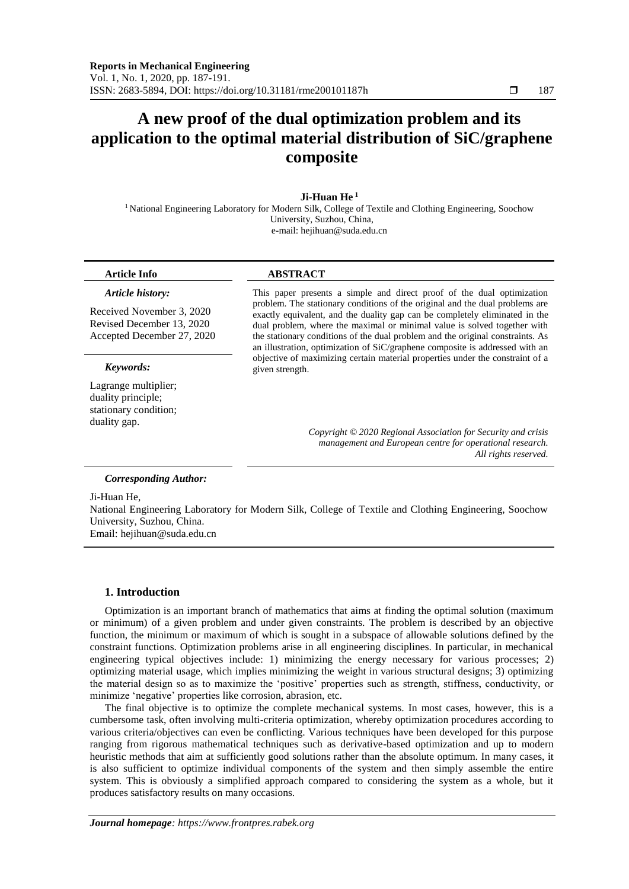# **A new proof of the dual optimization problem and its application to the optimal material distribution of SiC/graphene composite**

# **Ji-Huan He <sup>1</sup>**

<sup>1</sup> National Engineering Laboratory for Modern Silk, College of Textile and Clothing Engineering, Soochow University, Suzhou, China, e-mail: [hejihuan@suda.edu.cn](mailto:hejihuan@suda.edu.cn)

#### *Article history:*

Received November 3, 2020 Revised December 13, 2020 Accepted December 27, 2020

Lagrange multiplier; duality principle; stationary condition; duality gap.

# **Article Info ABSTRACT**

This paper presents a simple and direct proof of the dual optimization problem. The stationary conditions of the original and the dual problems are exactly equivalent, and the duality gap can be completely eliminated in the dual problem, where the maximal or minimal value is solved together with the stationary conditions of the dual problem and the original constraints. As an illustration, optimization of SiC/graphene composite is addressed with an objective of maximizing certain material properties under the constraint of a *Keywords:* given strength.

> *Copyright © 2020 Regional Association for Security and crisis management and European centre for operational research. All rights reserved.*

### *Corresponding Author:*

Ji-Huan He,

National Engineering Laboratory for Modern Silk, College of Textile and Clothing Engineering, Soochow University, Suzhou, China.

Email: [hejihuan@suda.edu.cn](mailto:hejihuan@suda.edu.cn)

#### **1. Introduction**

Optimization is an important branch of mathematics that aims at finding the optimal solution (maximum or minimum) of a given problem and under given constraints. The problem is described by an objective function, the minimum or maximum of which is sought in a subspace of allowable solutions defined by the constraint functions. Optimization problems arise in all engineering disciplines. In particular, in mechanical engineering typical objectives include: 1) minimizing the energy necessary for various processes; 2) optimizing material usage, which implies minimizing the weight in various structural designs; 3) optimizing the material design so as to maximize the 'positive' properties such as strength, stiffness, conductivity, or minimize 'negative' properties like corrosion, abrasion, etc.

The final objective is to optimize the complete mechanical systems. In most cases, however, this is a cumbersome task, often involving multi-criteria optimization, whereby optimization procedures according to various criteria/objectives can even be conflicting. Various techniques have been developed for this purpose ranging from rigorous mathematical techniques such as derivative-based optimization and up to modern heuristic methods that aim at sufficiently good solutions rather than the absolute optimum. In many cases, it is also sufficient to optimize individual components of the system and then simply assemble the entire system. This is obviously a simplified approach compared to considering the system as a whole, but it produces satisfactory results on many occasions.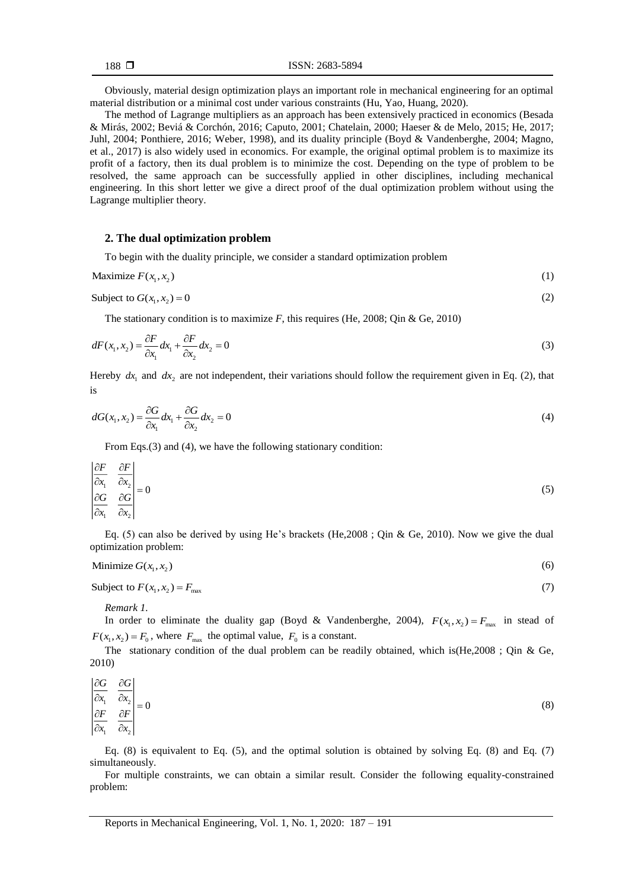Obviously, material design optimization plays an important role in mechanical engineering for an optimal material distribution or a minimal cost under various constraints (Hu, Yao, Huang, 2020).

The method of Lagrange multipliers as an approach has been extensively practiced in economics (Besada & Mirás, 2002; Beviá & Corchón, 2016; Caputo, 2001; Chatelain, 2000; Haeser & de Melo, 2015; He, 2017; Juhl, 2004; Ponthiere, 2016; Weber, 1998), and its duality principle (Boyd & Vandenberghe, 2004; Magno, et al., 2017) is also widely used in economics. For example, the original optimal problem is to maximize its profit of a factory, then its dual problem is to minimize the cost. Depending on the type of problem to be resolved, the same approach can be successfully applied in other disciplines, including mechanical engineering. In this short letter we give a direct proof of the dual optimization problem without using the Lagrange multiplier theory.

#### **2. The dual optimization problem**

To begin with the duality principle, we consider a standard optimization problem

$$
\text{Maximize } F(x_1, x_2) \tag{1}
$$

Subject to  $G(x_1, x_2) = 0$  $= 0$  (2)

The stationary condition is to maximize *F*, this requires (He, 2008; Qin & Ge, 2010)

$$
dF(x_1, x_2) = \frac{\partial F}{\partial x_1} dx_1 + \frac{\partial F}{\partial x_2} dx_2 = 0
$$
\n(3)

Hereby  $dx_1$  and  $dx_2$  are not independent, their variations should follow the requirement given in Eq. (2), that is

$$
dG(x_1, x_2) = \frac{\partial G}{\partial x_1} dx_1 + \frac{\partial G}{\partial x_2} dx_2 = 0
$$
\n(4)

From Eqs.(3) and (4), we have the following stationary condition:

$$
\begin{vmatrix}\n\frac{\partial F}{\partial x_1} & \frac{\partial F}{\partial x_2} \\
\frac{\partial G}{\partial x_1} & \frac{\partial G}{\partial x_2}\n\end{vmatrix} = 0
$$
\n(5)

Eq. (5) can also be derived by using He's brackets (He,2008 ; Qin & Ge, 2010). Now we give the dual optimization problem:

Minimize 
$$
G(x_1, x_2)
$$
 (6)

Subject to  $F(x_1, x_2) = F_{\text{max}}$  $=$   $F_{\text{max}}$  (7)

*Remark 1.*

In order to eliminate the duality gap (Boyd & Vandenberghe, 2004),  $F(x_1, x_2) = F_{\text{max}}$  in stead of  $F(x_1, x_2) = F_0$ , where  $F_{\text{max}}$  the optimal value,  $F_0$  is a constant.

The stationary condition of the dual problem can be readily obtained, which is(He,2008 ; Qin & Ge, 2010)

1 <sup>22</sup>2 1 <sup>22</sup>2 0 *G G x x F F x x* ∂G ∂  $\begin{vmatrix} \frac{\partial x_1}{\partial F} & \frac{\partial x_2}{\partial F} \end{vmatrix} =$ дх. д (8)

Eq. (8) is equivalent to Eq. (5), and the optimal solution is obtained by solving Eq. (8) and Eq. (7) simultaneously.

For multiple constraints, we can obtain a similar result. Consider the following equality-constrained problem: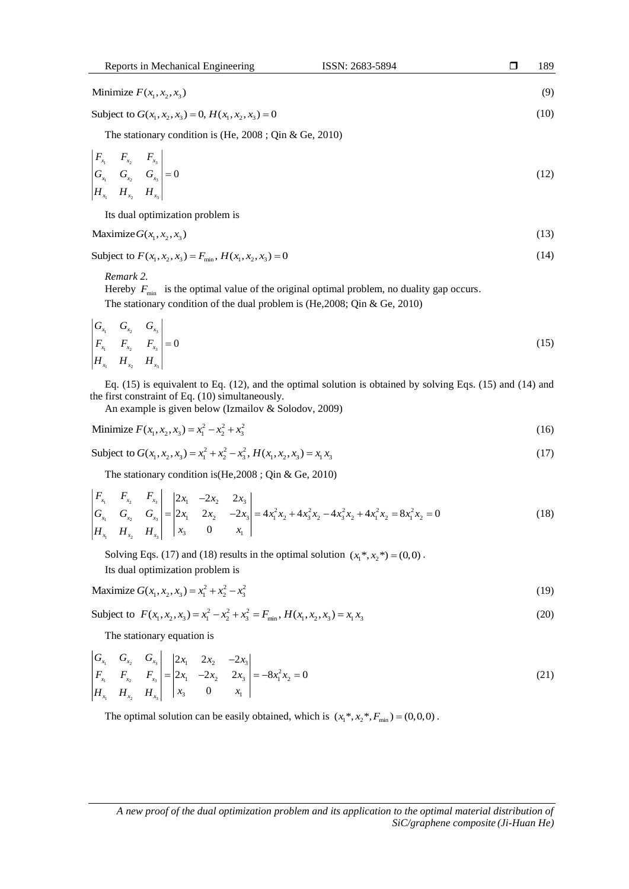| Reports in Mechanical Engineering | ISSN: 2683-5894 | 189 |
|-----------------------------------|-----------------|-----|
|                                   |                 |     |
| Minimize $F(x_1, x_2, x_3)$       |                 |     |

Subject to  $G(x_1, x_2, x_3) = 0$ ,  $H(x_1, x_2, x_3) = 0$  $=0$  (10)

The stationary condition is (He, 2008 ; Qin & Ge, 2010)

$$
\begin{vmatrix} F_{x_1} & F_{x_2} & F_{x_3} \\ G_{x_1} & G_{x_2} & G_{x_3} \\ H_{x_1} & H_{x_2} & H_{x_3} \end{vmatrix} = 0
$$
\n(12)

Its dual optimization problem is

$$
\text{Maximize } G(x_1, x_2, x_3) \tag{13}
$$

Subject to  $F(x_1, x_2, x_3) = F_{\min}$ ,  $H(x_1, x_2, x_3) = 0$  $=0$  (14)

*Remark 2.*

Hereby  $F_{\text{min}}$  is the optimal value of the original optimal problem, no duality gap occurs.

The stationary condition of the dual problem is (He,2008; Qin & Ge, 2010)

$$
\begin{vmatrix} G_{x_1} & G_{x_2} & G_{x_3} \ F_{x_1} & F_{x_2} & F_{x_3} \ H_{x_1} & H_{x_2} & H_{x_3} \end{vmatrix} = 0
$$
\n(15)

Eq. (15) is equivalent to Eq. (12), and the optimal solution is obtained by solving Eqs. (15) and (14) and the first constraint of Eq. (10) simultaneously.

An example is given below (Izmailov & Solodov, 2009)

Minimize 
$$
F(x_1, x_2, x_3) = x_1^2 - x_2^2 + x_3^2
$$
 (16)

Subject to 
$$
G(x_1, x_2, x_3) = x_1^2 + x_2^2 - x_3^2
$$
,  $H(x_1, x_2, x_3) = x_1 x_3$  (17)

The stationary condition is (He,2008 ; Qin & Ge, 2010)  
\n
$$
\begin{vmatrix}\nF_x & F_{x_2} & F_{x_3} \\
G_{x_1} & G_{x_2} & G_{x_3} \\
H_{x_1} & H_{x_2} & H_{x_3}\n\end{vmatrix} = \begin{vmatrix}\n2x_1 & -2x_2 & 2x_3 \\
2x_1 & 2x_2 & -2x_3 \\
x_3 & 0 & x_1\n\end{vmatrix} = 4x_1^2x_2 + 4x_3^2x_2 - 4x_3^2x_2 + 4x_1^2x_2 = 8x_1^2x_2 = 0
$$
\n(18)

Solving Eqs. (17) and (18) results in the optimal solution  $(x_1^*, x_2^*) = (0,0)$ . Its dual optimization problem is

$$
\text{Maximize } G(x_1, x_2, x_3) = x_1^2 + x_2^2 - x_3^2 \tag{19}
$$

Subject to  $F(x_1, x_2, x_3) = x_1^2 - x_2^2 + x_3^2 = F_{\text{min}}$ ,  $H(x_1, x_2, x_3) = x_1 x_3$  (20)

The stationary equation is

$$
\begin{vmatrix} G_{x_1} & G_{x_2} & G_{x_3} \\ F_{x_1} & F_{x_2} & F_{x_3} \\ H_{x_1} & H_{x_2} & H_{x_3} \end{vmatrix} = \begin{vmatrix} 2x_1 & 2x_2 & -2x_3 \\ 2x_1 & -2x_2 & 2x_3 \\ x_3 & 0 & x_1 \end{vmatrix} = -8x_1^2x_2 = 0
$$
\n(21)

The optimal solution can be easily obtained, which is  $(x_1^*, x_2^*, F_{min}) = (0,0,0)$ .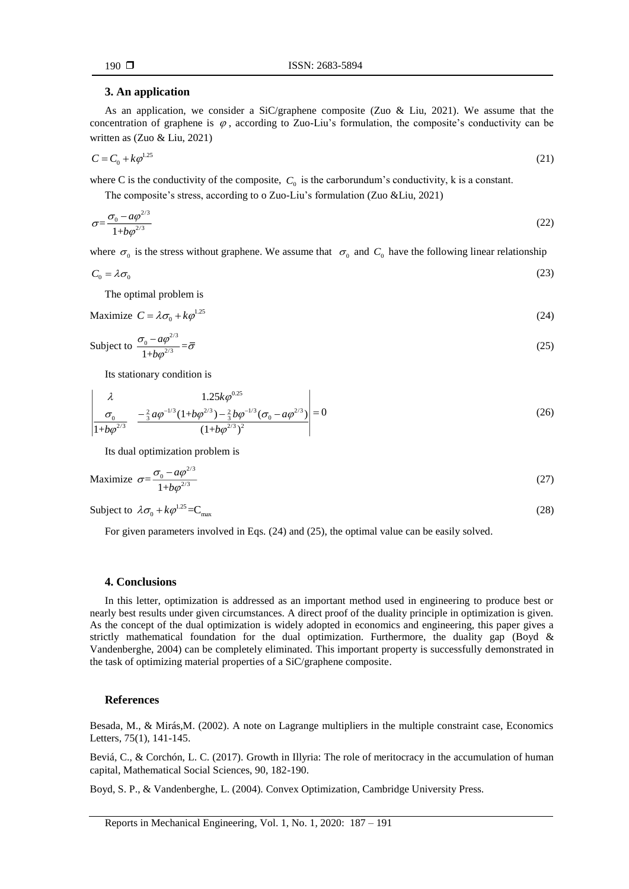# **3. An application**

As an application, we consider a SiC/graphene composite (Zuo & Liu, 2021). We assume that the concentration of graphene is  $\varphi$ , according to Zuo-Liu's formulation, the composite's conductivity can be written as (Zuo & Liu, 2021)

$$
C = C_0 + k\varphi^{1.25} \tag{21}
$$

where C is the conductivity of the composite,  $C_0$  is the carborundum's conductivity, k is a constant.

The composite's stress, according to o Zuo-Liu's formulation (Zuo &Liu, 2021)

$$
\sigma = \frac{\sigma_0 - a\varphi^{2/3}}{1 + b\varphi^{2/3}}\tag{22}
$$

where  $\sigma_0$  is the stress without graphene. We assume that  $\sigma_0$  and  $C_0$  have the following linear relationship

$$
C_0 = \lambda \sigma_0 \tag{23}
$$

The optimal problem is

Maximize  $C = \lambda \sigma_0 + k \varphi^{1.25}$ (24)

Subject to 
$$
\frac{\sigma_0 - a\varphi^{2/3}}{1 + b\varphi^{2/3}} = \overline{\sigma}
$$
 (25)

Its stationary condition is

$$
\begin{vmatrix} \lambda & 1.25k\varphi^{0.25} \\ \sigma_0 & \frac{-\frac{2}{3}a\varphi^{-1/3}(1+b\varphi^{2/3}) - \frac{2}{3}b\varphi^{-1/3}(\sigma_0 - a\varphi^{2/3})}{(1+b\varphi^{2/3})^2} = 0 \end{vmatrix} = 0
$$
 (26)

Its dual optimization problem is

$$
\text{Maximize } \sigma = \frac{\sigma_0 - a\varphi^{2/3}}{1 + b\varphi^{2/3}}\tag{27}
$$

Subject to  $\lambda \sigma_0 + k \varphi^{1.25} = C_{\text{max}}$  (28)

For given parameters involved in Eqs. (24) and (25), the optimal value can be easily solved.

# **4. Conclusions**

In this letter, optimization is addressed as an important method used in engineering to produce best or nearly best results under given circumstances. A direct proof of the duality principle in optimization is given. As the concept of the dual optimization is widely adopted in economics and engineering, this paper gives a strictly mathematical foundation for the dual optimization. Furthermore, the duality gap (Boyd & Vandenberghe, 2004) can be completely eliminated. This important property is successfully demonstrated in the task of optimizing material properties of a SiC/graphene composite.

### **References**

Besada, M., & Mirás,M. (2002). A note on Lagrange multipliers in the multiple constraint case, Economics Letters, 75(1), 141-145.

Beviá, C., & Corchón, L. C. (2017). Growth in Illyria: The role of [meritocracy in the accumulation of human](http://www.sciencedirect.com/science/article/pii/S0165489616300786)  [capital,](http://www.sciencedirect.com/science/article/pii/S0165489616300786) Mathematical Social Sciences, 90, 182-190.

Boyd, S. P., & Vandenberghe, L. (2004). [Convex Optimization,](http://www.stanford.edu/~boyd/cvxbook/bv_cvxbook.pdf) Cambridge University Press.